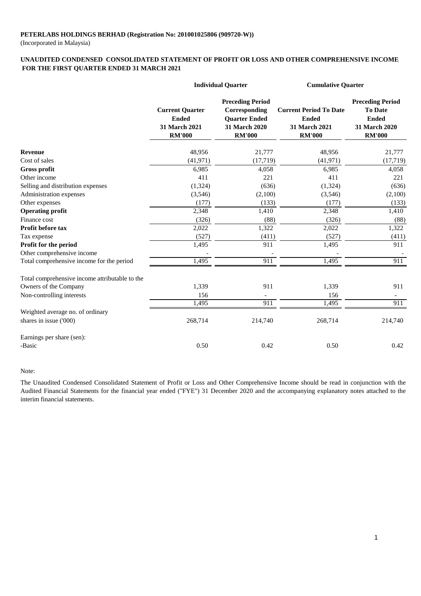(Incorporated in Malaysia)

#### **FOR THE FIRST QUARTER ENDED 31 MARCH 2021 UNAUDITED CONDENSED CONSOLIDATED STATEMENT OF PROFIT OR LOSS AND OTHER COMPREHENSIVE INCOME**

|                                                | <b>Individual Quarter</b>                                                |                                                                                                    | <b>Cumulative Quarter</b>                                                       |                                                                                                    |
|------------------------------------------------|--------------------------------------------------------------------------|----------------------------------------------------------------------------------------------------|---------------------------------------------------------------------------------|----------------------------------------------------------------------------------------------------|
|                                                | <b>Current Quarter</b><br><b>Ended</b><br>31 March 2021<br><b>RM'000</b> | <b>Preceding Period</b><br>Corresponding<br><b>Quarter Ended</b><br>31 March 2020<br><b>RM'000</b> | <b>Current Period To Date</b><br><b>Ended</b><br>31 March 2021<br><b>RM'000</b> | <b>Preceding Period</b><br><b>To Date</b><br><b>Ended</b><br><b>31 March 2020</b><br><b>RM'000</b> |
| <b>Revenue</b>                                 | 48,956                                                                   | 21,777                                                                                             | 48,956                                                                          | 21,777                                                                                             |
| Cost of sales                                  | (41, 971)                                                                | (17, 719)                                                                                          | (41, 971)                                                                       | (17, 719)                                                                                          |
| <b>Gross profit</b>                            | 6,985                                                                    | 4,058                                                                                              | 6,985                                                                           | 4,058                                                                                              |
| Other income                                   | 411                                                                      | 221                                                                                                | 411                                                                             | 221                                                                                                |
| Selling and distribution expenses              | (1,324)                                                                  | (636)                                                                                              | (1, 324)                                                                        | (636)                                                                                              |
| Administration expenses                        | (3,546)                                                                  | (2,100)                                                                                            | (3,546)                                                                         | (2,100)                                                                                            |
| Other expenses                                 | (177)                                                                    | (133)                                                                                              | (177)                                                                           | (133)                                                                                              |
| <b>Operating profit</b>                        | 2,348                                                                    | 1,410                                                                                              | 2,348                                                                           | 1,410                                                                                              |
| Finance cost                                   | (326)                                                                    | (88)                                                                                               | (326)                                                                           | (88)                                                                                               |
| Profit before tax                              | 2,022                                                                    | 1,322                                                                                              | 2,022                                                                           | 1,322                                                                                              |
| Tax expense                                    | (527)                                                                    | (411)                                                                                              | (527)                                                                           | (411)                                                                                              |
| Profit for the period                          | 1,495                                                                    | 911                                                                                                | 1,495                                                                           | 911                                                                                                |
| Other comprehensive income                     |                                                                          |                                                                                                    |                                                                                 |                                                                                                    |
| Total comprehensive income for the period      | 1,495                                                                    | 911                                                                                                | 1,495                                                                           | 911                                                                                                |
| Total comprehensive income attributable to the |                                                                          |                                                                                                    |                                                                                 |                                                                                                    |
| Owners of the Company                          | 1,339                                                                    | 911                                                                                                | 1,339                                                                           | 911                                                                                                |
| Non-controlling interests                      | 156                                                                      | $\overline{\phantom{a}}$                                                                           | 156                                                                             |                                                                                                    |
|                                                | 1,495                                                                    | 911                                                                                                | 1,495                                                                           | 911                                                                                                |
| Weighted average no. of ordinary               |                                                                          |                                                                                                    |                                                                                 |                                                                                                    |
| shares in issue ('000)                         | 268,714                                                                  | 214,740                                                                                            | 268,714                                                                         | 214,740                                                                                            |
| Earnings per share (sen):                      |                                                                          |                                                                                                    |                                                                                 |                                                                                                    |
| -Basic                                         | 0.50                                                                     | 0.42                                                                                               | 0.50                                                                            | 0.42                                                                                               |

#### Note:

The Unaudited Condensed Consolidated Statement of Profit or Loss and Other Comprehensive Income should be read in conjunction with the Audited Financial Statements for the financial year ended ("FYE") 31 December 2020 and the accompanying explanatory notes attached to the interim financial statements.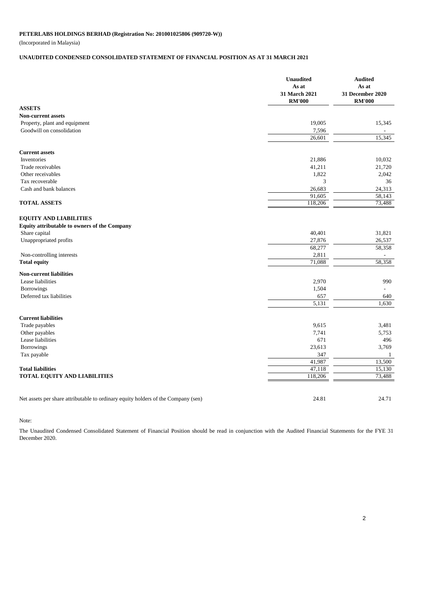(Incorporated in Malaysia)

### **UNAUDITED CONDENSED CONSOLIDATED STATEMENT OF FINANCIAL POSITION AS AT 31 MARCH 2021**

| <b>ASSETS</b><br><b>Non-current assets</b><br>19,005<br>Property, plant and equipment<br>Goodwill on consolidation<br>7,596<br>26,601<br><b>Current assets</b><br>Inventories<br>21,886<br>Trade receivables<br>41,211<br>1,822<br>Other receivables<br>3<br>Tax recoverable<br>Cash and bank balances<br>26,683<br>91,605<br><b>TOTAL ASSETS</b><br>118,206<br><b>EQUITY AND LIABILITIES</b><br>Equity attributable to owners of the Company<br>Share capital<br>40,401<br>27,876<br>Unappropriated profits<br>68,277<br>2,811<br>Non-controlling interests<br>71,088<br><b>Total equity</b><br><b>Non-current liabilities</b><br>Lease liabilities<br>2,970<br>1,504<br><b>Borrowings</b><br>Deferred tax liabilities<br>657<br>5,131<br><b>Current liabilities</b><br>Trade payables<br>9,615<br>Other payables<br>7,741<br>Lease liabilities<br>671<br>23,613<br>Borrowings<br>347<br>Tax payable<br>41,987<br>47,118<br><b>Total liabilities</b><br><b>TOTAL EQUITY AND LIABILITIES</b><br>118,206 | <b>Unaudited</b><br>As at<br><b>31 March 2021</b><br><b>RM'000</b> | <b>Audited</b><br>As at<br>31 December 2020<br><b>RM'000</b> |
|---------------------------------------------------------------------------------------------------------------------------------------------------------------------------------------------------------------------------------------------------------------------------------------------------------------------------------------------------------------------------------------------------------------------------------------------------------------------------------------------------------------------------------------------------------------------------------------------------------------------------------------------------------------------------------------------------------------------------------------------------------------------------------------------------------------------------------------------------------------------------------------------------------------------------------------------------------------------------------------------------------|--------------------------------------------------------------------|--------------------------------------------------------------|
|                                                                                                                                                                                                                                                                                                                                                                                                                                                                                                                                                                                                                                                                                                                                                                                                                                                                                                                                                                                                         |                                                                    |                                                              |
|                                                                                                                                                                                                                                                                                                                                                                                                                                                                                                                                                                                                                                                                                                                                                                                                                                                                                                                                                                                                         |                                                                    |                                                              |
|                                                                                                                                                                                                                                                                                                                                                                                                                                                                                                                                                                                                                                                                                                                                                                                                                                                                                                                                                                                                         |                                                                    | 15,345                                                       |
|                                                                                                                                                                                                                                                                                                                                                                                                                                                                                                                                                                                                                                                                                                                                                                                                                                                                                                                                                                                                         |                                                                    |                                                              |
|                                                                                                                                                                                                                                                                                                                                                                                                                                                                                                                                                                                                                                                                                                                                                                                                                                                                                                                                                                                                         |                                                                    | 15,345                                                       |
|                                                                                                                                                                                                                                                                                                                                                                                                                                                                                                                                                                                                                                                                                                                                                                                                                                                                                                                                                                                                         |                                                                    |                                                              |
|                                                                                                                                                                                                                                                                                                                                                                                                                                                                                                                                                                                                                                                                                                                                                                                                                                                                                                                                                                                                         |                                                                    | 10,032                                                       |
|                                                                                                                                                                                                                                                                                                                                                                                                                                                                                                                                                                                                                                                                                                                                                                                                                                                                                                                                                                                                         |                                                                    | 21,720                                                       |
|                                                                                                                                                                                                                                                                                                                                                                                                                                                                                                                                                                                                                                                                                                                                                                                                                                                                                                                                                                                                         |                                                                    | 2,042                                                        |
|                                                                                                                                                                                                                                                                                                                                                                                                                                                                                                                                                                                                                                                                                                                                                                                                                                                                                                                                                                                                         |                                                                    | 36                                                           |
|                                                                                                                                                                                                                                                                                                                                                                                                                                                                                                                                                                                                                                                                                                                                                                                                                                                                                                                                                                                                         |                                                                    | 24,313                                                       |
|                                                                                                                                                                                                                                                                                                                                                                                                                                                                                                                                                                                                                                                                                                                                                                                                                                                                                                                                                                                                         |                                                                    | 58,143                                                       |
|                                                                                                                                                                                                                                                                                                                                                                                                                                                                                                                                                                                                                                                                                                                                                                                                                                                                                                                                                                                                         |                                                                    | 73,488                                                       |
|                                                                                                                                                                                                                                                                                                                                                                                                                                                                                                                                                                                                                                                                                                                                                                                                                                                                                                                                                                                                         |                                                                    |                                                              |
|                                                                                                                                                                                                                                                                                                                                                                                                                                                                                                                                                                                                                                                                                                                                                                                                                                                                                                                                                                                                         |                                                                    |                                                              |
|                                                                                                                                                                                                                                                                                                                                                                                                                                                                                                                                                                                                                                                                                                                                                                                                                                                                                                                                                                                                         |                                                                    | 31,821                                                       |
|                                                                                                                                                                                                                                                                                                                                                                                                                                                                                                                                                                                                                                                                                                                                                                                                                                                                                                                                                                                                         |                                                                    | 26,537                                                       |
|                                                                                                                                                                                                                                                                                                                                                                                                                                                                                                                                                                                                                                                                                                                                                                                                                                                                                                                                                                                                         |                                                                    | 58,358                                                       |
|                                                                                                                                                                                                                                                                                                                                                                                                                                                                                                                                                                                                                                                                                                                                                                                                                                                                                                                                                                                                         |                                                                    |                                                              |
|                                                                                                                                                                                                                                                                                                                                                                                                                                                                                                                                                                                                                                                                                                                                                                                                                                                                                                                                                                                                         |                                                                    | 58,358                                                       |
|                                                                                                                                                                                                                                                                                                                                                                                                                                                                                                                                                                                                                                                                                                                                                                                                                                                                                                                                                                                                         |                                                                    |                                                              |
|                                                                                                                                                                                                                                                                                                                                                                                                                                                                                                                                                                                                                                                                                                                                                                                                                                                                                                                                                                                                         |                                                                    | 990                                                          |
|                                                                                                                                                                                                                                                                                                                                                                                                                                                                                                                                                                                                                                                                                                                                                                                                                                                                                                                                                                                                         |                                                                    |                                                              |
|                                                                                                                                                                                                                                                                                                                                                                                                                                                                                                                                                                                                                                                                                                                                                                                                                                                                                                                                                                                                         |                                                                    | 640                                                          |
|                                                                                                                                                                                                                                                                                                                                                                                                                                                                                                                                                                                                                                                                                                                                                                                                                                                                                                                                                                                                         |                                                                    | 1,630                                                        |
|                                                                                                                                                                                                                                                                                                                                                                                                                                                                                                                                                                                                                                                                                                                                                                                                                                                                                                                                                                                                         |                                                                    |                                                              |
|                                                                                                                                                                                                                                                                                                                                                                                                                                                                                                                                                                                                                                                                                                                                                                                                                                                                                                                                                                                                         |                                                                    |                                                              |
|                                                                                                                                                                                                                                                                                                                                                                                                                                                                                                                                                                                                                                                                                                                                                                                                                                                                                                                                                                                                         |                                                                    | 3,481                                                        |
|                                                                                                                                                                                                                                                                                                                                                                                                                                                                                                                                                                                                                                                                                                                                                                                                                                                                                                                                                                                                         |                                                                    | 5,753                                                        |
|                                                                                                                                                                                                                                                                                                                                                                                                                                                                                                                                                                                                                                                                                                                                                                                                                                                                                                                                                                                                         |                                                                    | 496                                                          |
|                                                                                                                                                                                                                                                                                                                                                                                                                                                                                                                                                                                                                                                                                                                                                                                                                                                                                                                                                                                                         |                                                                    | 3,769                                                        |
|                                                                                                                                                                                                                                                                                                                                                                                                                                                                                                                                                                                                                                                                                                                                                                                                                                                                                                                                                                                                         |                                                                    | -1<br>13,500                                                 |
|                                                                                                                                                                                                                                                                                                                                                                                                                                                                                                                                                                                                                                                                                                                                                                                                                                                                                                                                                                                                         |                                                                    | 15,130                                                       |
|                                                                                                                                                                                                                                                                                                                                                                                                                                                                                                                                                                                                                                                                                                                                                                                                                                                                                                                                                                                                         |                                                                    | 73,488                                                       |
|                                                                                                                                                                                                                                                                                                                                                                                                                                                                                                                                                                                                                                                                                                                                                                                                                                                                                                                                                                                                         |                                                                    |                                                              |
| Net assets per share attributable to ordinary equity holders of the Company (sen)<br>24.81                                                                                                                                                                                                                                                                                                                                                                                                                                                                                                                                                                                                                                                                                                                                                                                                                                                                                                              |                                                                    | 24.71                                                        |

Note:

The Unaudited Condensed Consolidated Statement of Financial Position should be read in conjunction with the Audited Financial Statements for the FYE 31 December 2020.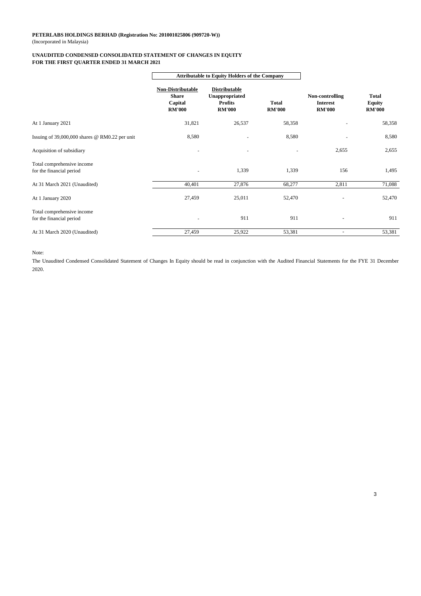#### (Incorporated in Malaysia) **PETERLABS HOLDINGS BERHAD (Registration No: 201001025806 (909720-W))**

#### **UNAUDITED CONDENSED CONSOLIDATED STATEMENT OF CHANGES IN EQUITY FOR THE FIRST QUARTER ENDED 31 MARCH 2021**

|                                                        | <b>Attributable to Equity Holders of the Company</b>          |                                                                           |                               |                                                     |                                  |
|--------------------------------------------------------|---------------------------------------------------------------|---------------------------------------------------------------------------|-------------------------------|-----------------------------------------------------|----------------------------------|
|                                                        | Non-Distributable<br><b>Share</b><br>Capital<br><b>RM'000</b> | <b>Distributable</b><br>Unappropriated<br><b>Profits</b><br><b>RM'000</b> | <b>Total</b><br><b>RM'000</b> | Non-controlling<br><b>Interest</b><br><b>RM'000</b> | Total<br>Equity<br><b>RM'000</b> |
| At 1 January 2021                                      | 31,821                                                        | 26,537                                                                    | 58,358                        |                                                     | 58,358                           |
| Issuing of 39,000,000 shares @ RM0.22 per unit         | 8,580                                                         |                                                                           | 8,580                         |                                                     | 8,580                            |
| Acquisition of subsidiary                              |                                                               |                                                                           |                               | 2,655                                               | 2,655                            |
| Total comprehensive income<br>for the financial period |                                                               | 1,339                                                                     | 1,339                         | 156                                                 | 1,495                            |
| At 31 March 2021 (Unaudited)                           | 40,401                                                        | 27,876                                                                    | 68,277                        | 2,811                                               | 71,088                           |
| At 1 January 2020                                      | 27,459                                                        | 25,011                                                                    | 52,470                        |                                                     | 52,470                           |
| Total comprehensive income<br>for the financial period |                                                               | 911                                                                       | 911                           | $\overline{\phantom{a}}$                            | 911                              |
| At 31 March 2020 (Unaudited)                           | 27,459                                                        | 25,922                                                                    | 53,381                        | $\overline{\phantom{a}}$                            | 53,381                           |

Note:

The Unaudited Condensed Consolidated Statement of Changes In Equity should be read in conjunction with the Audited Financial Statements for the FYE 31 December 2020.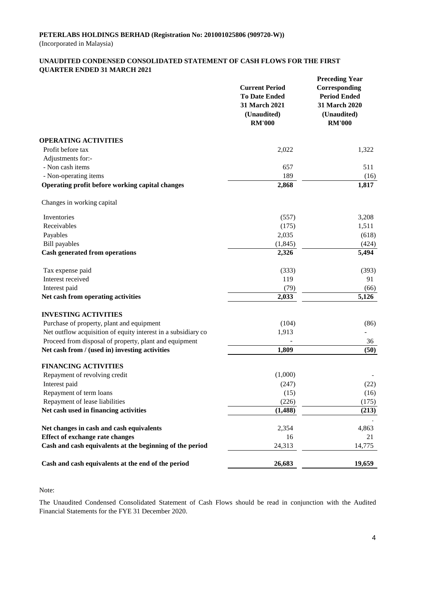#### **UNAUDITED CONDENSED CONSOLIDATED STATEMENT OF CASH FLOWS FOR THE FIRST QUARTER ENDED 31 MARCH 2021**

|                                                               | <b>Current Period</b><br><b>To Date Ended</b><br>31 March 2021<br>(Unaudited)<br><b>RM'000</b> | <b>Preceding Year</b><br>Corresponding<br><b>Period Ended</b><br>31 March 2020<br>(Unaudited)<br><b>RM'000</b> |
|---------------------------------------------------------------|------------------------------------------------------------------------------------------------|----------------------------------------------------------------------------------------------------------------|
| <b>OPERATING ACTIVITIES</b>                                   |                                                                                                |                                                                                                                |
| Profit before tax                                             | 2,022                                                                                          | 1,322                                                                                                          |
| Adjustments for:-                                             |                                                                                                |                                                                                                                |
| - Non cash items                                              | 657                                                                                            | 511                                                                                                            |
| - Non-operating items                                         | 189                                                                                            | (16)                                                                                                           |
| Operating profit before working capital changes               | 2,868                                                                                          | 1,817                                                                                                          |
| Changes in working capital                                    |                                                                                                |                                                                                                                |
| Inventories                                                   | (557)                                                                                          | 3,208                                                                                                          |
| Receivables                                                   | (175)                                                                                          | 1,511                                                                                                          |
| Payables                                                      | 2,035                                                                                          | (618)                                                                                                          |
| <b>Bill</b> payables                                          | (1, 845)                                                                                       | (424)                                                                                                          |
| <b>Cash generated from operations</b>                         | 2,326                                                                                          | 5,494                                                                                                          |
| Tax expense paid                                              | (333)                                                                                          | (393)                                                                                                          |
| Interest received                                             | 119                                                                                            | 91                                                                                                             |
| Interest paid                                                 | (79)                                                                                           | (66)                                                                                                           |
| Net cash from operating activities                            | 2,033                                                                                          | 5,126                                                                                                          |
| <b>INVESTING ACTIVITIES</b>                                   |                                                                                                |                                                                                                                |
| Purchase of property, plant and equipment                     | (104)                                                                                          | (86)                                                                                                           |
| Net outflow acquisition of equity interest in a subsidiary co | 1,913                                                                                          |                                                                                                                |
| Proceed from disposal of property, plant and equipment        |                                                                                                | 36                                                                                                             |
| Net cash from / (used in) investing activities                | 1,809                                                                                          | (50)                                                                                                           |
| <b>FINANCING ACTIVITIES</b>                                   |                                                                                                |                                                                                                                |
| Repayment of revolving credit                                 | (1,000)                                                                                        |                                                                                                                |
| Interest paid                                                 | (247)                                                                                          | (22)                                                                                                           |
| Repayment of term loans                                       | (15)                                                                                           | (16)                                                                                                           |
| Repayment of lease liabilities                                | (226)                                                                                          | (175)                                                                                                          |
| Net cash used in financing activities                         | (1, 488)                                                                                       | (213)                                                                                                          |
| Net changes in cash and cash equivalents                      | 2,354                                                                                          | 4,863                                                                                                          |
| <b>Effect of exchange rate changes</b>                        | 16                                                                                             | 21                                                                                                             |
| Cash and cash equivalents at the beginning of the period      | 24,313                                                                                         | 14,775                                                                                                         |
| Cash and cash equivalents at the end of the period            | 26,683                                                                                         | 19,659                                                                                                         |

Note:

The Unaudited Condensed Consolidated Statement of Cash Flows should be read in conjunction with the Audited Financial Statements for the FYE 31 December 2020.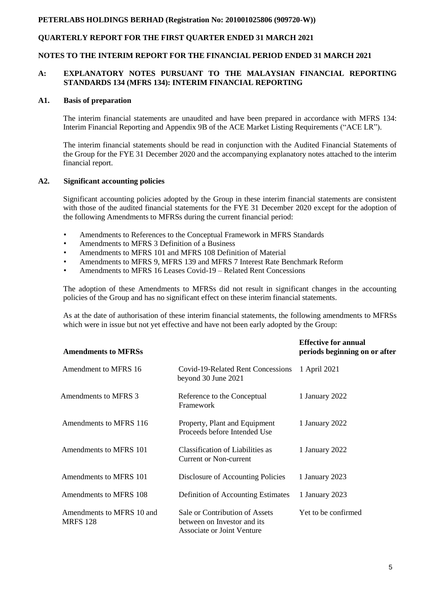## **QUARTERLY REPORT FOR THE FIRST QUARTER ENDED 31 MARCH 2021**

#### **NOTES TO THE INTERIM REPORT FOR THE FINANCIAL PERIOD ENDED 31 MARCH 2021**

#### **A: EXPLANATORY NOTES PURSUANT TO THE MALAYSIAN FINANCIAL REPORTING STANDARDS 134 (MFRS 134): INTERIM FINANCIAL REPORTING**

#### **A1. Basis of preparation**

The interim financial statements are unaudited and have been prepared in accordance with MFRS 134: Interim Financial Reporting and Appendix 9B of the ACE Market Listing Requirements ("ACE LR").

The interim financial statements should be read in conjunction with the Audited Financial Statements of the Group for the FYE 31 December 2020 and the accompanying explanatory notes attached to the interim financial report.

#### **A2. Significant accounting policies**

Significant accounting policies adopted by the Group in these interim financial statements are consistent with those of the audited financial statements for the FYE 31 December 2020 except for the adoption of the following Amendments to MFRSs during the current financial period:

- Amendments to References to the Conceptual Framework in MFRS Standards
- Amendments to MFRS 3 Definition of a Business
- Amendments to MFRS 101 and MFRS 108 Definition of Material
- Amendments to MFRS 9, MFRS 139 and MFRS 7 Interest Rate Benchmark Reform
- Amendments to MFRS 16 Leases Covid-19 Related Rent Concessions

The adoption of these Amendments to MFRSs did not result in significant changes in the accounting policies of the Group and has no significant effect on these interim financial statements.

As at the date of authorisation of these interim financial statements, the following amendments to MFRSs which were in issue but not yet effective and have not been early adopted by the Group:

| <b>Amendments to MFRSs</b>                   |                                                                                             | <b>Effective for annual</b><br>periods beginning on or after |
|----------------------------------------------|---------------------------------------------------------------------------------------------|--------------------------------------------------------------|
| Amendment to MFRS 16                         | Covid-19-Related Rent Concessions<br>beyond 30 June 2021                                    | 1 April 2021                                                 |
| Amendments to MFRS 3                         | Reference to the Conceptual<br>Framework                                                    | 1 January 2022                                               |
| Amendments to MFRS 116                       | Property, Plant and Equipment<br>Proceeds before Intended Use                               | 1 January 2022                                               |
| Amendments to MFRS 101                       | Classification of Liabilities as<br>Current or Non-current                                  | 1 January 2022                                               |
| Amendments to MFRS 101                       | Disclosure of Accounting Policies                                                           | 1 January 2023                                               |
| Amendments to MFRS 108                       | Definition of Accounting Estimates                                                          | 1 January 2023                                               |
| Amendments to MFRS 10 and<br><b>MRFS 128</b> | Sale or Contribution of Assets<br>between on Investor and its<br>Associate or Joint Venture | Yet to be confirmed                                          |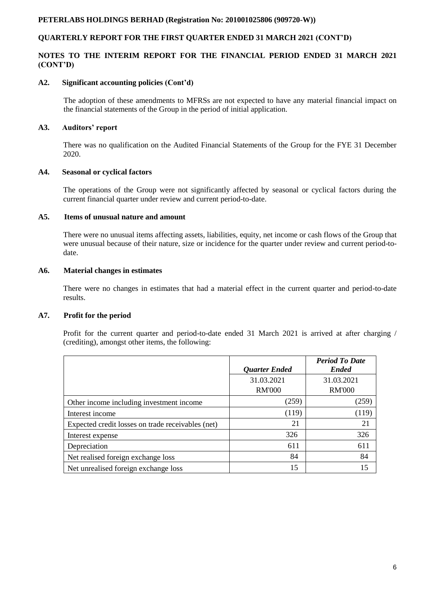## **QUARTERLY REPORT FOR THE FIRST QUARTER ENDED 31 MARCH 2021 (CONT'D)**

### **NOTES TO THE INTERIM REPORT FOR THE FINANCIAL PERIOD ENDED 31 MARCH 2021 (CONT'D)**

#### **A2. Significant accounting policies (Cont'd)**

The adoption of these amendments to MFRSs are not expected to have any material financial impact on the financial statements of the Group in the period of initial application.

### **A3. Auditors' report**

There was no qualification on the Audited Financial Statements of the Group for the FYE 31 December 2020.

#### **A4. Seasonal or cyclical factors**

The operations of the Group were not significantly affected by seasonal or cyclical factors during the current financial quarter under review and current period-to-date.

### **A5. Items of unusual nature and amount**

There were no unusual items affecting assets, liabilities, equity, net income or cash flows of the Group that were unusual because of their nature, size or incidence for the quarter under review and current period-todate.

### **A6. Material changes in estimates**

There were no changes in estimates that had a material effect in the current quarter and period-to-date results.

#### **A7. Profit for the period**

Profit for the current quarter and period-to-date ended 31 March 2021 is arrived at after charging / (crediting), amongst other items, the following:

|                                                   | <b>Quarter Ended</b>        | <b>Period To Date</b><br><b>Ended</b> |
|---------------------------------------------------|-----------------------------|---------------------------------------|
|                                                   | 31.03.2021<br><b>RM'000</b> | 31.03.2021<br><b>RM'000</b>           |
| Other income including investment income          | (259)                       | (259)                                 |
| Interest income                                   | (119)                       | (119)                                 |
| Expected credit losses on trade receivables (net) | 21                          | 21                                    |
| Interest expense                                  | 326                         | 326                                   |
| Depreciation                                      | 611                         | 611                                   |
| Net realised foreign exchange loss                | 84                          | 84                                    |
| Net unrealised foreign exchange loss              | 15                          | 15                                    |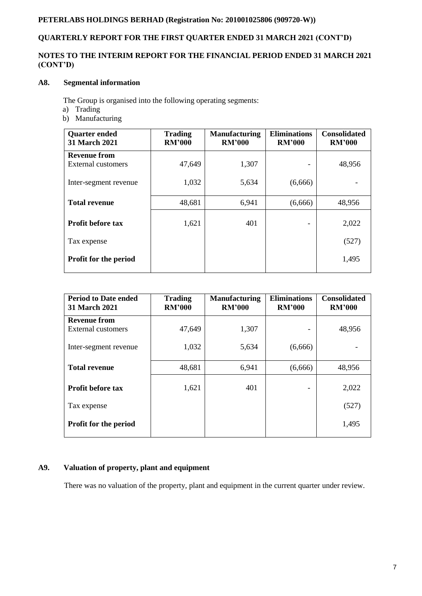# **QUARTERLY REPORT FOR THE FIRST QUARTER ENDED 31 MARCH 2021 (CONT'D)**

## **NOTES TO THE INTERIM REPORT FOR THE FINANCIAL PERIOD ENDED 31 MARCH 2021 (CONT'D)**

## **A8. Segmental information**

The Group is organised into the following operating segments:

- a) Trading
- b) Manufacturing

| <b>Quarter ended</b><br><b>31 March 2021</b> | <b>Trading</b><br><b>RM'000</b> | <b>Manufacturing</b><br><b>RM'000</b> | <b>Eliminations</b><br><b>RM'000</b> | <b>Consolidated</b><br><b>RM'000</b> |
|----------------------------------------------|---------------------------------|---------------------------------------|--------------------------------------|--------------------------------------|
| <b>Revenue from</b>                          |                                 |                                       |                                      |                                      |
| External customers                           | 47,649                          | 1,307                                 |                                      | 48,956                               |
| Inter-segment revenue                        | 1,032                           | 5,634                                 | (6,666)                              |                                      |
| <b>Total revenue</b>                         | 48,681                          | 6,941                                 | (6,666)                              | 48,956                               |
|                                              |                                 |                                       |                                      |                                      |
| <b>Profit before tax</b>                     | 1,621                           | 401                                   |                                      | 2,022                                |
| Tax expense                                  |                                 |                                       |                                      | (527)                                |
| <b>Profit for the period</b>                 |                                 |                                       |                                      | 1,495                                |
|                                              |                                 |                                       |                                      |                                      |

| <b>Period to Date ended</b><br><b>31 March 2021</b> | <b>Trading</b><br><b>RM'000</b> | <b>Manufacturing</b><br><b>RM'000</b> | <b>Eliminations</b><br><b>RM'000</b> | <b>Consolidated</b><br><b>RM'000</b> |
|-----------------------------------------------------|---------------------------------|---------------------------------------|--------------------------------------|--------------------------------------|
| <b>Revenue from</b>                                 |                                 |                                       |                                      |                                      |
| External customers                                  | 47,649                          | 1,307                                 |                                      | 48,956                               |
| Inter-segment revenue                               | 1,032                           | 5,634                                 | (6,666)                              |                                      |
| <b>Total revenue</b>                                | 48,681                          | 6,941                                 | (6,666)                              | 48,956                               |
| <b>Profit before tax</b>                            | 1,621                           | 401                                   | ٠                                    | 2,022                                |
| Tax expense                                         |                                 |                                       |                                      | (527)                                |
| <b>Profit for the period</b>                        |                                 |                                       |                                      | 1,495                                |

## **A9. Valuation of property, plant and equipment**

There was no valuation of the property, plant and equipment in the current quarter under review.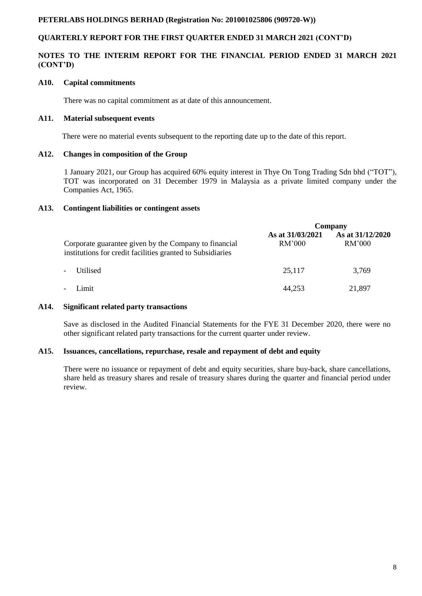## **QUARTERLY REPORT FOR THE FIRST QUARTER ENDED 31 MARCH 2021 (CONT'D)**

### **NOTES TO THE INTERIM REPORT FOR THE FINANCIAL PERIOD ENDED 31 MARCH 2021 (CONT'D)**

#### **A10. Capital commitments**

There was no capital commitment as at date of this announcement.

#### **A11. Material subsequent events**

There were no material events subsequent to the reporting date up to the date of this report.

#### **A12. Changes in composition of the Group**

 1 January 2021, our Group has acquired 60% equity interest in Thye On Tong Trading Sdn bhd ("TOT"), TOT was incorporated on 31 December 1979 in Malaysia as a private limited company under the Companies Act, 1965.

#### **A13. Contingent liabilities or contingent assets**

|                                                                                                                     | Company                    |                            |  |
|---------------------------------------------------------------------------------------------------------------------|----------------------------|----------------------------|--|
| Corporate guarantee given by the Company to financial<br>institutions for credit facilities granted to Subsidiaries | As at 31/03/2021<br>RM'000 | As at 31/12/2020<br>RM'000 |  |
| Utilised<br>$\blacksquare$                                                                                          | 25,117                     | 3,769                      |  |
| Limit<br>$\overline{\phantom{a}}$                                                                                   | 44,253                     | 21,897                     |  |

#### **A14. Significant related party transactions**

Save as disclosed in the Audited Financial Statements for the FYE 31 December 2020, there were no other significant related party transactions for the current quarter under review.

#### **A15. Issuances, cancellations, repurchase, resale and repayment of debt and equity**

There were no issuance or repayment of debt and equity securities, share buy-back, share cancellations, share held as treasury shares and resale of treasury shares during the quarter and financial period under review.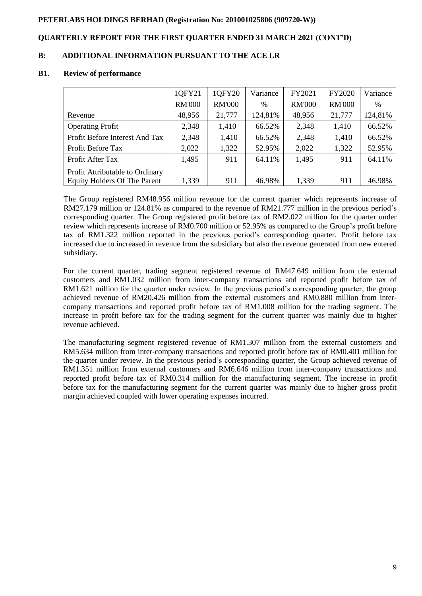## **QUARTERLY REPORT FOR THE FIRST QUARTER ENDED 31 MARCH 2021 (CONT'D)**

### **B: ADDITIONAL INFORMATION PURSUANT TO THE ACE LR**

#### **B1. Review of performance**

| 1QFY21        | 1QFY20        | Variance | FY2021        | FY2020        | Variance |
|---------------|---------------|----------|---------------|---------------|----------|
| <b>RM'000</b> | <b>RM'000</b> | %        | <b>RM'000</b> | <b>RM'000</b> | %        |
| 48,956        | 21,777        | 124,81%  | 48,956        | 21,777        | 124,81%  |
| 2,348         | 1,410         | 66.52%   | 2,348         | 1,410         | 66.52%   |
| 2,348         | 1,410         | 66.52%   | 2,348         | 1,410         | 66.52%   |
| 2,022         | 1,322         | 52.95%   | 2,022         | 1,322         | 52.95%   |
| 1,495         | 911           | 64.11%   | 1,495         | 911           | 64.11%   |
|               |               |          |               |               | 46.98%   |
|               | 1,339         | 911      | 46.98%        | 1,339         | 911      |

The Group registered RM48.956 million revenue for the current quarter which represents increase of RM27.179 million or 124.81% as compared to the revenue of RM21.777 million in the previous period's corresponding quarter. The Group registered profit before tax of RM2.022 million for the quarter under review which represents increase of RM0.700 million or 52.95% as compared to the Group's profit before tax of RM1.322 million reported in the previous period's corresponding quarter. Profit before tax increased due to increased in revenue from the subsidiary but also the revenue generated from new entered subsidiary.

For the current quarter, trading segment registered revenue of RM47.649 million from the external customers and RM1.032 million from inter-company transactions and reported profit before tax of RM1.621 million for the quarter under review. In the previous period's corresponding quarter, the group achieved revenue of RM20.426 million from the external customers and RM0.880 million from intercompany transactions and reported profit before tax of RM1.008 million for the trading segment. The increase in profit before tax for the trading segment for the current quarter was mainly due to higher revenue achieved.

The manufacturing segment registered revenue of RM1.307 million from the external customers and RM5.634 million from inter-company transactions and reported profit before tax of RM0.401 million for the quarter under review. In the previous period's corresponding quarter, the Group achieved revenue of RM1.351 million from external customers and RM6.646 million from inter-company transactions and reported profit before tax of RM0.314 million for the manufacturing segment. The increase in profit before tax for the manufacturing segment for the current quarter was mainly due to higher gross profit margin achieved coupled with lower operating expenses incurred.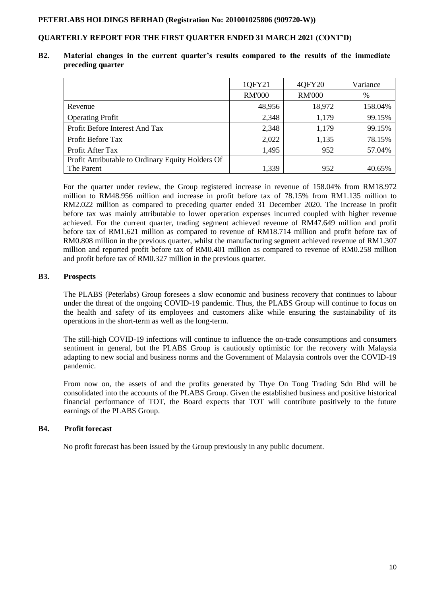## **QUARTERLY REPORT FOR THE FIRST QUARTER ENDED 31 MARCH 2021 (CONT'D)**

#### **B2. Material changes in the current quarter's results compared to the results of the immediate preceding quarter**

|                                                   | 1QFY21        | 40FY20        | Variance |
|---------------------------------------------------|---------------|---------------|----------|
|                                                   | <b>RM'000</b> | <b>RM'000</b> | $\%$     |
| Revenue                                           | 48,956        | 18,972        | 158.04%  |
| <b>Operating Profit</b>                           | 2,348         | 1,179         | 99.15%   |
| Profit Before Interest And Tax                    | 2,348         | 1,179         | 99.15%   |
| Profit Before Tax                                 | 2,022         | 1,135         | 78.15%   |
| Profit After Tax                                  | 1,495         | 952           | 57.04%   |
| Profit Attributable to Ordinary Equity Holders Of |               |               |          |
| The Parent                                        | 1,339         | 952           | 40.65%   |

For the quarter under review, the Group registered increase in revenue of 158.04% from RM18.972 million to RM48.956 million and increase in profit before tax of 78.15% from RM1.135 million to RM2.022 million as compared to preceding quarter ended 31 December 2020. The increase in profit before tax was mainly attributable to lower operation expenses incurred coupled with higher revenue achieved. For the current quarter, trading segment achieved revenue of RM47.649 million and profit before tax of RM1.621 million as compared to revenue of RM18.714 million and profit before tax of RM0.808 million in the previous quarter, whilst the manufacturing segment achieved revenue of RM1.307 million and reported profit before tax of RM0.401 million as compared to revenue of RM0.258 million and profit before tax of RM0.327 million in the previous quarter.

### **B3. Prospects**

The PLABS (Peterlabs) Group foresees a slow economic and business recovery that continues to labour under the threat of the ongoing COVID-19 pandemic. Thus, the PLABS Group will continue to focus on the health and safety of its employees and customers alike while ensuring the sustainability of its operations in the short-term as well as the long-term.

The still-high COVID-19 infections will continue to influence the on-trade consumptions and consumers sentiment in general, but the PLABS Group is cautiously optimistic for the recovery with Malaysia adapting to new social and business norms and the Government of Malaysia controls over the COVID-19 pandemic.

From now on, the assets of and the profits generated by Thye On Tong Trading Sdn Bhd will be consolidated into the accounts of the PLABS Group. Given the established business and positive historical financial performance of TOT, the Board expects that TOT will contribute positively to the future earnings of the PLABS Group.

## **B4. Profit forecast**

No profit forecast has been issued by the Group previously in any public document.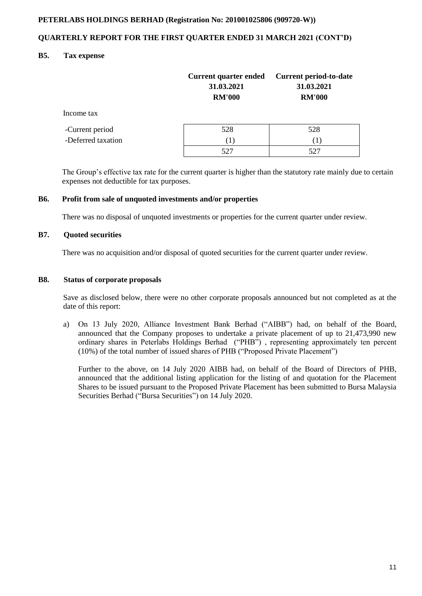## **QUARTERLY REPORT FOR THE FIRST QUARTER ENDED 31 MARCH 2021 (CONT'D)**

### **B5. Tax expense**

|                    | <b>Current quarter ended</b><br>31.03.2021<br><b>RM'000</b> | <b>Current period-to-date</b><br>31.03.2021<br><b>RM'000</b> |
|--------------------|-------------------------------------------------------------|--------------------------------------------------------------|
| Income tax         |                                                             |                                                              |
| -Current period    | 528                                                         | 528                                                          |
| -Deferred taxation | (1)                                                         | ( 1 )                                                        |
|                    | 527                                                         |                                                              |

 The Group's effective tax rate for the current quarter is higher than the statutory rate mainly due to certain expenses not deductible for tax purposes.

#### **B6. Profit from sale of unquoted investments and/or properties**

There was no disposal of unquoted investments or properties for the current quarter under review.

### **B7. Quoted securities**

There was no acquisition and/or disposal of quoted securities for the current quarter under review.

#### **B8. Status of corporate proposals**

Save as disclosed below, there were no other corporate proposals announced but not completed as at the date of this report:

a) On 13 July 2020, Alliance Investment Bank Berhad ("AIBB") had, on behalf of the Board, announced that the Company proposes to undertake a private placement of up to 21,473,990 new ordinary shares in Peterlabs Holdings Berhad ("PHB") , representing approximately ten percent (10%) of the total number of issued shares of PHB ("Proposed Private Placement")

Further to the above, on 14 July 2020 AIBB had, on behalf of the Board of Directors of PHB, announced that the additional listing application for the listing of and quotation for the Placement Shares to be issued pursuant to the Proposed Private Placement has been submitted to Bursa Malaysia Securities Berhad ("Bursa Securities") on 14 July 2020.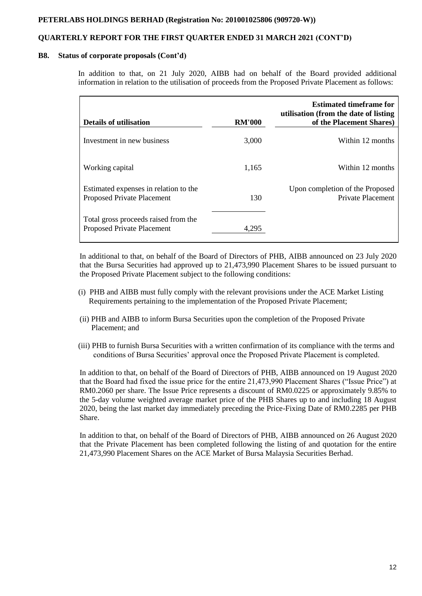### **QUARTERLY REPORT FOR THE FIRST QUARTER ENDED 31 MARCH 2021 (CONT'D)**

#### **B8. Status of corporate proposals (Cont'd)**

In addition to that, on 21 July 2020, AIBB had on behalf of the Board provided additional information in relation to the utilisation of proceeds from the Proposed Private Placement as follows:

| <b>Details of utilisation</b>                                              | <b>RM'000</b> | <b>Estimated timeframe for</b><br>utilisation (from the date of listing<br>of the Placement Shares) |
|----------------------------------------------------------------------------|---------------|-----------------------------------------------------------------------------------------------------|
| Investment in new business                                                 | 3,000         | Within 12 months                                                                                    |
| Working capital                                                            | 1,165         | Within 12 months                                                                                    |
| Estimated expenses in relation to the<br><b>Proposed Private Placement</b> | 130           | Upon completion of the Proposed<br>Private Placement                                                |
| Total gross proceeds raised from the<br>Proposed Private Placement         | 4.295         |                                                                                                     |

In additional to that, on behalf of the Board of Directors of PHB, AIBB announced on 23 July 2020 that the Bursa Securities had approved up to 21,473,990 Placement Shares to be issued pursuant to the Proposed Private Placement subject to the following conditions:

- (i) PHB and AIBB must fully comply with the relevant provisions under the ACE Market Listing Requirements pertaining to the implementation of the Proposed Private Placement;
- (ii) PHB and AIBB to inform Bursa Securities upon the completion of the Proposed Private Placement; and
- (iii) PHB to furnish Bursa Securities with a written confirmation of its compliance with the terms and conditions of Bursa Securities' approval once the Proposed Private Placement is completed.

In addition to that, on behalf of the Board of Directors of PHB, AIBB announced on 19 August 2020 that the Board had fixed the issue price for the entire 21,473,990 Placement Shares ("Issue Price") at RM0.2060 per share. The Issue Price represents a discount of RM0.0225 or approximately 9.85% to the 5-day volume weighted average market price of the PHB Shares up to and including 18 August 2020, being the last market day immediately preceding the Price-Fixing Date of RM0.2285 per PHB Share.

In addition to that, on behalf of the Board of Directors of PHB, AIBB announced on 26 August 2020 that the Private Placement has been completed following the listing of and quotation for the entire 21,473,990 Placement Shares on the ACE Market of Bursa Malaysia Securities Berhad.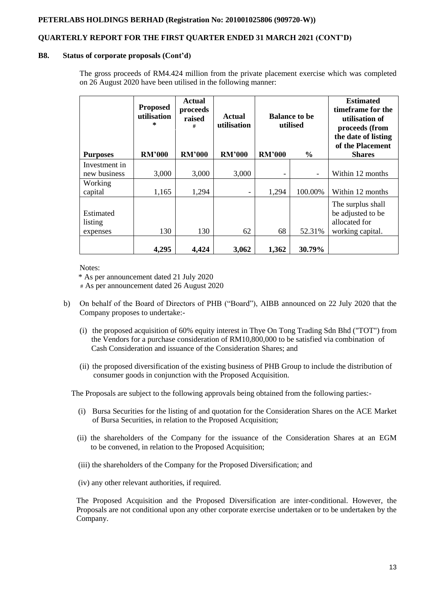## **QUARTERLY REPORT FOR THE FIRST QUARTER ENDED 31 MARCH 2021 (CONT'D)**

#### **B8. Status of corporate proposals (Cont'd)**

The gross proceeds of RM4.424 million from the private placement exercise which was completed on 26 August 2020 have been utilised in the following manner:

|                                  | <b>Proposed</b><br>utilisation<br>* | <b>Actual</b><br>proceeds<br>raised<br># | <b>Actual</b><br>utilisation | <b>Balance to be</b><br>utilised |                          | <b>Estimated</b><br>timeframe for the<br>utilisation of<br>proceeds (from<br>the date of listing<br>of the Placement |
|----------------------------------|-------------------------------------|------------------------------------------|------------------------------|----------------------------------|--------------------------|----------------------------------------------------------------------------------------------------------------------|
| <b>Purposes</b>                  | <b>RM'000</b>                       | <b>RM'000</b>                            | <b>RM'000</b>                | <b>RM'000</b>                    | $\frac{0}{0}$            | <b>Shares</b>                                                                                                        |
| Investment in                    |                                     |                                          |                              |                                  |                          |                                                                                                                      |
| new business                     | 3,000                               | 3,000                                    | 3,000                        | -                                | $\overline{\phantom{a}}$ | Within 12 months                                                                                                     |
| Working<br>capital               | 1,165                               | 1,294                                    | $\overline{\phantom{a}}$     | 1,294                            | 100.00%                  | Within 12 months                                                                                                     |
| Estimated<br>listing<br>expenses | 130                                 | 130                                      | 62                           | 68                               | 52.31%                   | The surplus shall<br>be adjusted to be<br>allocated for<br>working capital.                                          |
|                                  | 4,295                               | 4,424                                    | 3,062                        | 1,362                            | 30.79%                   |                                                                                                                      |

Notes:

'\* As per announcement dated 21 July 2020

# As per announcement dated 26 August 2020

- b) On behalf of the Board of Directors of PHB ("Board"), AIBB announced on 22 July 2020 that the Company proposes to undertake:-
	- (i) the proposed acquisition of 60% equity interest in Thye On Tong Trading Sdn Bhd ("TOT") from the Vendors for a purchase consideration of RM10,800,000 to be satisfied via combination of Cash Consideration and issuance of the Consideration Shares; and
	- (ii) the proposed diversification of the existing business of PHB Group to include the distribution of consumer goods in conjunction with the Proposed Acquisition.

The Proposals are subject to the following approvals being obtained from the following parties:-

- (i) Bursa Securities for the listing of and quotation for the Consideration Shares on the ACE Market of Bursa Securities, in relation to the Proposed Acquisition;
- (ii) the shareholders of the Company for the issuance of the Consideration Shares at an EGM to be convened, in relation to the Proposed Acquisition;
- (iii) the shareholders of the Company for the Proposed Diversification; and
- (iv) any other relevant authorities, if required.

The Proposed Acquisition and the Proposed Diversification are inter-conditional. However, the Proposals are not conditional upon any other corporate exercise undertaken or to be undertaken by the Company.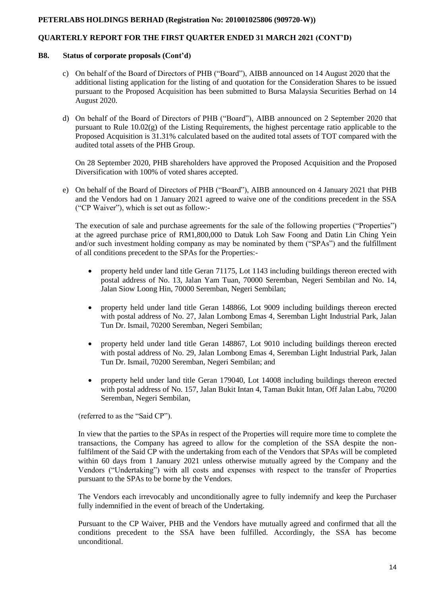## **QUARTERLY REPORT FOR THE FIRST QUARTER ENDED 31 MARCH 2021 (CONT'D)**

#### **B8. Status of corporate proposals (Cont'd)**

- c) On behalf of the Board of Directors of PHB ("Board"), AIBB announced on 14 August 2020 that the additional listing application for the listing of and quotation for the Consideration Shares to be issued pursuant to the Proposed Acquisition has been submitted to Bursa Malaysia Securities Berhad on 14 August 2020.
- d) On behalf of the Board of Directors of PHB ("Board"), AIBB announced on 2 September 2020 that pursuant to Rule  $10.02(g)$  of the Listing Requirements, the highest percentage ratio applicable to the Proposed Acquisition is 31.31% calculated based on the audited total assets of TOT compared with the audited total assets of the PHB Group.

On 28 September 2020, PHB shareholders have approved the Proposed Acquisition and the Proposed Diversification with 100% of voted shares accepted.

e) On behalf of the Board of Directors of PHB ("Board"), AIBB announced on 4 January 2021 that PHB and the Vendors had on 1 January 2021 agreed to waive one of the conditions precedent in the SSA ("CP Waiver"), which is set out as follow:-

The execution of sale and purchase agreements for the sale of the following properties ("Properties") at the agreed purchase price of RM1,800,000 to Datuk Loh Saw Foong and Datin Lin Ching Yein and/or such investment holding company as may be nominated by them ("SPAs") and the fulfillment of all conditions precedent to the SPAs for the Properties:-

- property held under land title Geran 71175, Lot 1143 including buildings thereon erected with postal address of No. 13, Jalan Yam Tuan, 70000 Seremban, Negeri Sembilan and No. 14, Jalan Siow Loong Hin, 70000 Seremban, Negeri Sembilan;
- property held under land title Geran 148866, Lot 9009 including buildings thereon erected with postal address of No. 27, Jalan Lombong Emas 4, Seremban Light Industrial Park, Jalan Tun Dr. Ismail, 70200 Seremban, Negeri Sembilan;
- property held under land title Geran 148867, Lot 9010 including buildings thereon erected with postal address of No. 29, Jalan Lombong Emas 4, Seremban Light Industrial Park, Jalan Tun Dr. Ismail, 70200 Seremban, Negeri Sembilan; and
- property held under land title Geran 179040, Lot 14008 including buildings thereon erected with postal address of No. 157, Jalan Bukit Intan 4, Taman Bukit Intan, Off Jalan Labu, 70200 Seremban, Negeri Sembilan,

(referred to as the "Said CP").

In view that the parties to the SPAs in respect of the Properties will require more time to complete the transactions, the Company has agreed to allow for the completion of the SSA despite the nonfulfilment of the Said CP with the undertaking from each of the Vendors that SPAs will be completed within 60 days from 1 January 2021 unless otherwise mutually agreed by the Company and the Vendors ("Undertaking") with all costs and expenses with respect to the transfer of Properties pursuant to the SPAs to be borne by the Vendors.

The Vendors each irrevocably and unconditionally agree to fully indemnify and keep the Purchaser fully indemnified in the event of breach of the Undertaking.

Pursuant to the CP Waiver, PHB and the Vendors have mutually agreed and confirmed that all the conditions precedent to the SSA have been fulfilled. Accordingly, the SSA has become unconditional.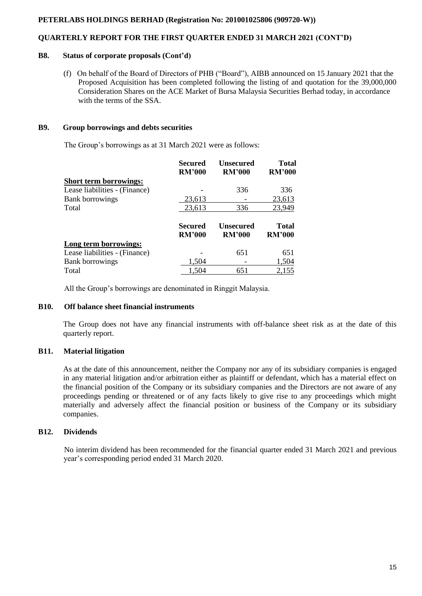## **QUARTERLY REPORT FOR THE FIRST QUARTER ENDED 31 MARCH 2021 (CONT'D)**

#### **B8. Status of corporate proposals (Cont'd)**

 (f) On behalf of the Board of Directors of PHB ("Board"), AIBB announced on 15 January 2021 that the Proposed Acquisition has been completed following the listing of and quotation for the 39,000,000 Consideration Shares on the ACE Market of Bursa Malaysia Securities Berhad today, in accordance with the terms of the SSA

### **B9. Group borrowings and debts securities**

The Group's borrowings as at 31 March 2021 were as follows:

|                               | <b>Secured</b><br><b>RM'000</b> | <b>Unsecured</b><br><b>RM'000</b> | <b>Total</b><br><b>RM'000</b> |
|-------------------------------|---------------------------------|-----------------------------------|-------------------------------|
| <b>Short term borrowings:</b> |                                 |                                   |                               |
| Lease liabilities - (Finance) |                                 | 336                               | 336                           |
| <b>Bank borrowings</b>        | 23,613                          |                                   | 23,613                        |
| Total                         | 23,613                          | 336                               | 23,949                        |
|                               | Secured<br><b>RM'000</b>        | <b>Unsecured</b><br><b>RM'000</b> | <b>Total</b><br><b>RM'000</b> |
|                               |                                 |                                   |                               |
| Long term borrowings:         |                                 |                                   |                               |
| Lease liabilities - (Finance) |                                 | 651                               | 651                           |
| <b>Bank borrowings</b>        | 1,504                           |                                   | 1,504                         |

All the Group's borrowings are denominated in Ringgit Malaysia.

## **B10. Off balance sheet financial instruments**

The Group does not have any financial instruments with off-balance sheet risk as at the date of this quarterly report.

#### **B11. Material litigation**

As at the date of this announcement, neither the Company nor any of its subsidiary companies is engaged in any material litigation and/or arbitration either as plaintiff or defendant, which has a material effect on the financial position of the Company or its subsidiary companies and the Directors are not aware of any proceedings pending or threatened or of any facts likely to give rise to any proceedings which might materially and adversely affect the financial position or business of the Company or its subsidiary companies.

#### **B12. Dividends**

 No interim dividend has been recommended for the financial quarter ended 31 March 2021 and previous year's corresponding period ended 31 March 2020.